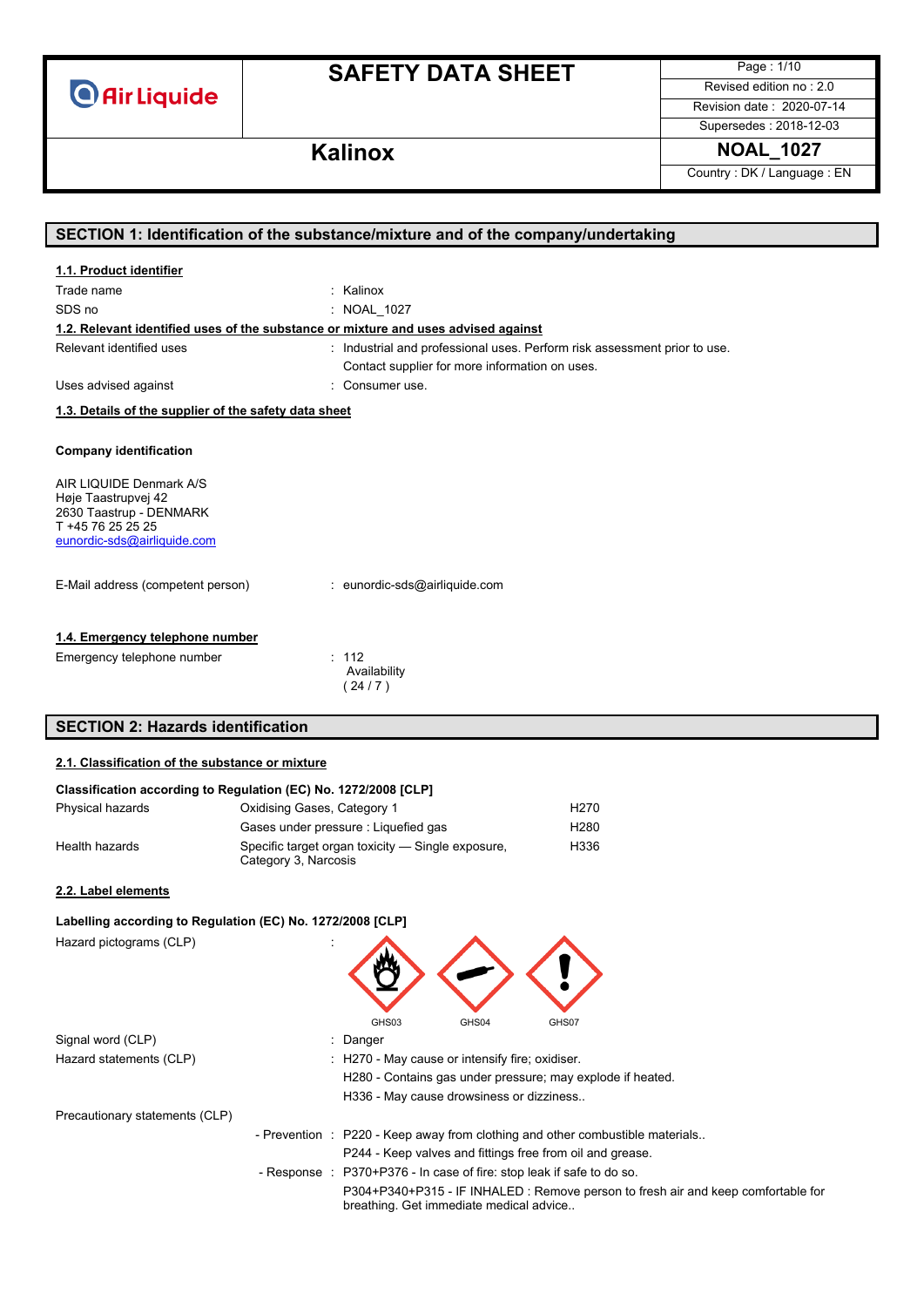# **SAFETY DATA SHEET**

Page : 1/10 Revised edition no : 2.0

Revision date : 2020-07-14 Supersedes : 2018-12-03

## **Kalinox NOAL\_1027**

Country : DK / Language : EN

| SECTION 1: Identification of the substance/mixture and of the company/undertaking                                             |                                                                         |  |
|-------------------------------------------------------------------------------------------------------------------------------|-------------------------------------------------------------------------|--|
| 1.1. Product identifier                                                                                                       |                                                                         |  |
| Trade name                                                                                                                    | Kalinox                                                                 |  |
|                                                                                                                               |                                                                         |  |
| SDS no                                                                                                                        | NOAL_1027                                                               |  |
| 1.2. Relevant identified uses of the substance or mixture and uses advised against                                            |                                                                         |  |
| Relevant identified uses                                                                                                      | Industrial and professional uses. Perform risk assessment prior to use. |  |
|                                                                                                                               | Contact supplier for more information on uses.                          |  |
| Uses advised against                                                                                                          | Consumer use.                                                           |  |
| 1.3. Details of the supplier of the safety data sheet                                                                         |                                                                         |  |
| <b>Company identification</b>                                                                                                 |                                                                         |  |
| AIR LIQUIDE Denmark A/S<br>Høje Taastrupvej 42<br>2630 Taastrup - DENMARK<br>T +45 76 25 25 25<br>eunordic-sds@airliquide.com |                                                                         |  |
| E-Mail address (competent person)                                                                                             | : eunordic-sds@airliquide.com                                           |  |
| 1.4. Emergency telephone number<br>Emergency telephone number                                                                 | : 112<br>Availability<br>(24/7)                                         |  |
| <b>SECTION 2: Hazards identification</b>                                                                                      |                                                                         |  |

#### **2.1. Classification of the substance or mixture**

| Classification according to Regulation (EC) No. 1272/2008 [CLP] |                                                                           |                  |  |  |
|-----------------------------------------------------------------|---------------------------------------------------------------------------|------------------|--|--|
| Physical hazards                                                | Oxidising Gases, Category 1                                               | H <sub>270</sub> |  |  |
|                                                                 | Gases under pressure : Liquefied gas                                      | H <sub>280</sub> |  |  |
| Health hazards                                                  | Specific target organ toxicity — Single exposure,<br>Category 3, Narcosis | H336             |  |  |
| 2.2. Label elements                                             |                                                                           |                  |  |  |

### **Labelling according to Regulation (EC) No. 1272/2008 [CLP]** Hazard pictograms (CLP) : GHS03 GHS04 GHS07 Signal word (CLP) in the state of the Signal word (CLP) in the state of the Signal word (CLP) in the Signal and Signal and Signal and Signal and Signal and Signal and Signal and Signal and Signal and Signal and Signal and Hazard statements (CLP) : H270 - May cause or intensify fire; oxidiser. H280 - Contains gas under pressure; may explode if heated. H336 - May cause drowsiness or dizziness.. Precautionary statements (CLP) - Prevention : P220 - Keep away from clothing and other combustible materials.. P244 - Keep valves and fittings free from oil and grease. - Response : P370+P376 - In case of fire: stop leak if safe to do so. P304+P340+P315 - IF INHALED : Remove person to fresh air and keep comfortable for breathing. Get immediate medical advice..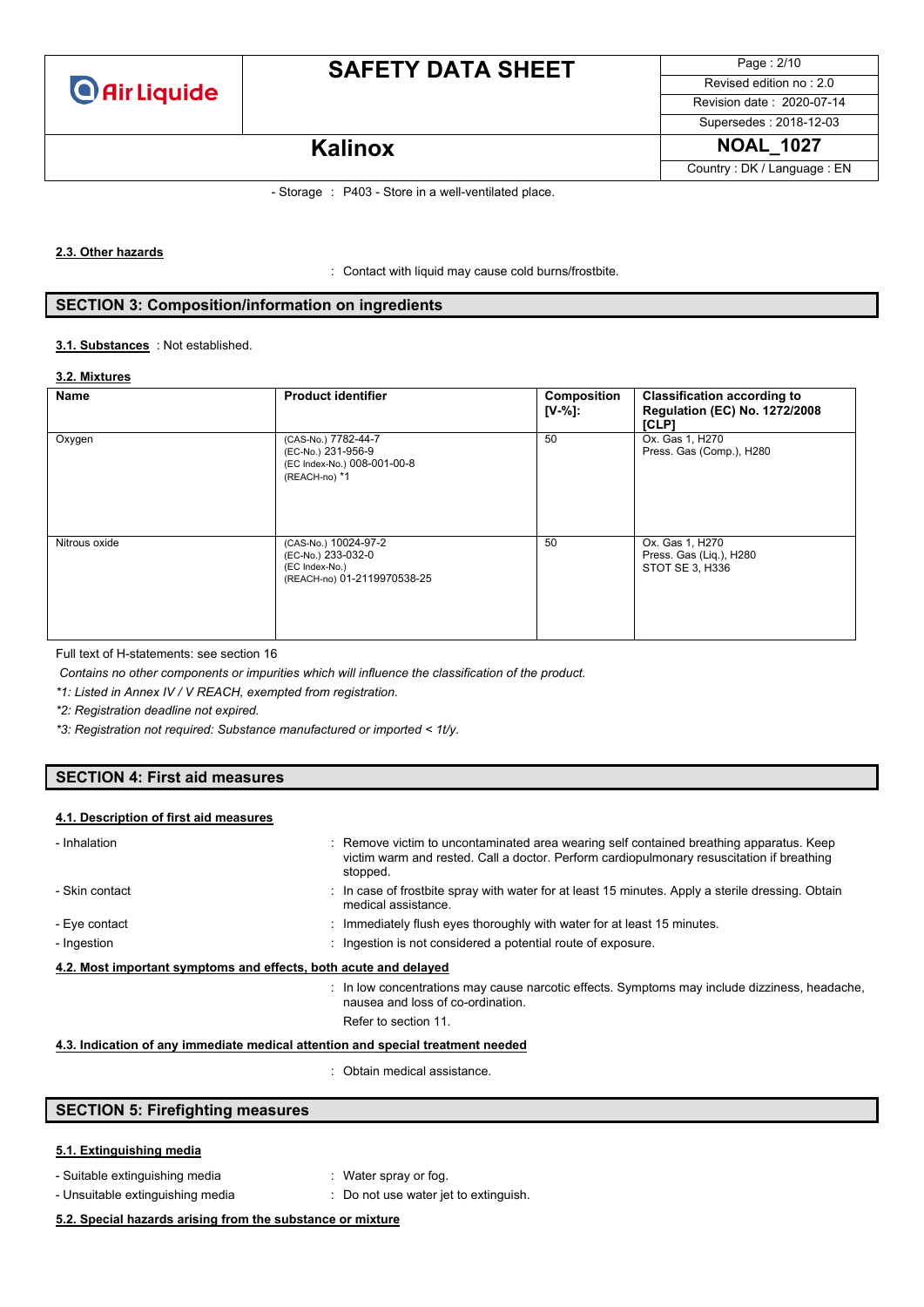

# **SAFETY DATA SHEET**

Page : 2/10 Revised edition no : 2.0 Revision date : 2020-07-14 Supersedes : 2018-12-03 **Kalinox NOAL\_1027** 

Country : DK / Language : EN

### - Storage : P403 - Store in a well-ventilated place.

#### **2.3. Other hazards**

: Contact with liquid may cause cold burns/frostbite.

### **SECTION 3: Composition/information on ingredients**

#### : Not established. **3.1. Substances**

#### **3.2. Mixtures**

| Name          | <b>Product identifier</b>                                                                   | Composition<br>$[V-%]:$ | <b>Classification according to</b><br><b>Regulation (EC) No. 1272/2008</b><br>[CLP] |
|---------------|---------------------------------------------------------------------------------------------|-------------------------|-------------------------------------------------------------------------------------|
| Oxygen        | (CAS-No.) 7782-44-7<br>(EC-No.) 231-956-9<br>(EC Index-No.) 008-001-00-8<br>(REACH-no) *1   | 50                      | Ox. Gas 1, H270<br>Press. Gas (Comp.), H280                                         |
| Nitrous oxide | (CAS-No.) 10024-97-2<br>(EC-No.) 233-032-0<br>(EC Index-No.)<br>(REACH-no) 01-2119970538-25 | 50                      | Ox. Gas 1, H270<br>Press. Gas (Liq.), H280<br>STOT SE 3, H336                       |

Full text of H-statements: see section 16

*Contains no other components or impurities which will influence the classification of the product.*

*\*1: Listed in Annex IV / V REACH, exempted from registration.*

*\*2: Registration deadline not expired.*

*\*3: Registration not required: Substance manufactured or imported < 1t/y.*

### **SECTION 4: First aid measures**

#### **4.1. Description of first aid measures**

| - Inhalation   | : Remove victim to uncontaminated area wearing self contained breathing apparatus. Keep<br>victim warm and rested. Call a doctor. Perform cardiopulmonary resuscitation if breathing<br>stopped. |
|----------------|--------------------------------------------------------------------------------------------------------------------------------------------------------------------------------------------------|
| - Skin contact | : In case of frostbite spray with water for at least 15 minutes. Apply a sterile dressing. Obtain<br>medical assistance.                                                                         |
| - Eye contact  | : Immediately flush eyes thoroughly with water for at least 15 minutes.                                                                                                                          |
| - Ingestion    | : Ingestion is not considered a potential route of exposure.                                                                                                                                     |
|                | 4.2. Most important symptoms and effects, both acute and delayed                                                                                                                                 |
|                | : In low concentrations may cause narcotic effects. Symptoms may include dizziness, headache.<br>nausea and loss of co-ordination.                                                               |
|                | Refer to section 11.                                                                                                                                                                             |

### **4.3. Indication of any immediate medical attention and special treatment needed**

: Obtain medical assistance.

### **SECTION 5: Firefighting measures**

### **5.1. Extinguishing media**

- Suitable extinguishing media : Water spray or fog.
	-
- Unsuitable extinguishing media : Do not use water jet to extinguish.

### **5.2. Special hazards arising from the substance or mixture**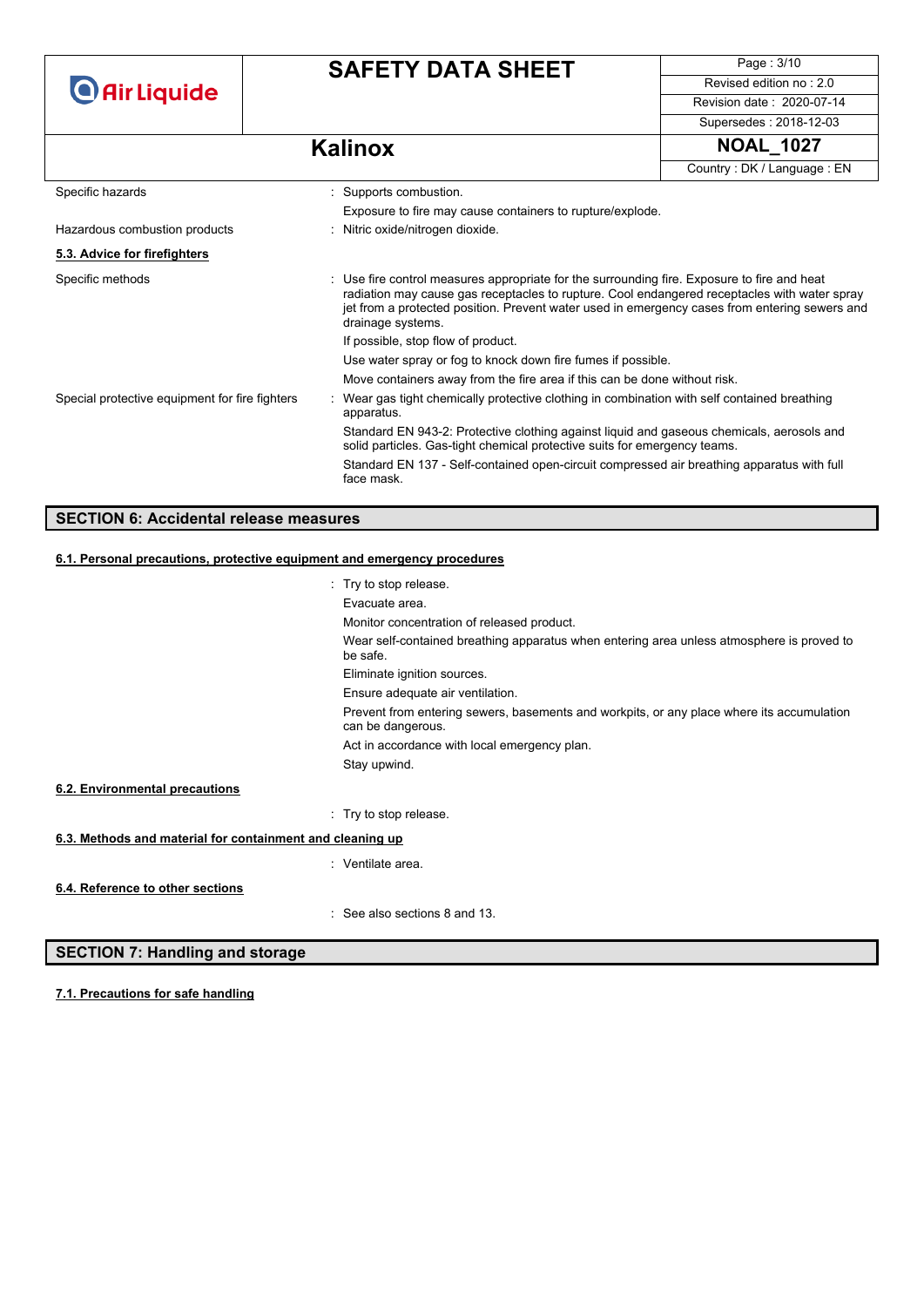# **SAFETY DATA SHEET**

Page : 3/10 Revised edition no : 2.0 Revision date : 2020-07-14

Supersedes : 2018-12-03

## **Kalinox NOAL\_1027**

|                                                                          |                                                                                                                                                                                                                                                                                                                   |                                                                                                                                                                        | Country: DK / Language: EN |
|--------------------------------------------------------------------------|-------------------------------------------------------------------------------------------------------------------------------------------------------------------------------------------------------------------------------------------------------------------------------------------------------------------|------------------------------------------------------------------------------------------------------------------------------------------------------------------------|----------------------------|
| Specific hazards                                                         |                                                                                                                                                                                                                                                                                                                   | : Supports combustion.                                                                                                                                                 |                            |
|                                                                          |                                                                                                                                                                                                                                                                                                                   | Exposure to fire may cause containers to rupture/explode.                                                                                                              |                            |
| Hazardous combustion products                                            |                                                                                                                                                                                                                                                                                                                   | : Nitric oxide/nitrogen dioxide.                                                                                                                                       |                            |
| 5.3. Advice for firefighters                                             |                                                                                                                                                                                                                                                                                                                   |                                                                                                                                                                        |                            |
| Specific methods                                                         | : Use fire control measures appropriate for the surrounding fire. Exposure to fire and heat<br>radiation may cause gas receptacles to rupture. Cool endangered receptacles with water spray<br>jet from a protected position. Prevent water used in emergency cases from entering sewers and<br>drainage systems. |                                                                                                                                                                        |                            |
|                                                                          |                                                                                                                                                                                                                                                                                                                   | If possible, stop flow of product.                                                                                                                                     |                            |
|                                                                          |                                                                                                                                                                                                                                                                                                                   | Use water spray or fog to knock down fire fumes if possible.                                                                                                           |                            |
|                                                                          |                                                                                                                                                                                                                                                                                                                   | Move containers away from the fire area if this can be done without risk.                                                                                              |                            |
| Special protective equipment for fire fighters                           |                                                                                                                                                                                                                                                                                                                   | Wear gas tight chemically protective clothing in combination with self contained breathing<br>apparatus.                                                               |                            |
|                                                                          |                                                                                                                                                                                                                                                                                                                   | Standard EN 943-2: Protective clothing against liquid and gaseous chemicals, aerosols and<br>solid particles. Gas-tight chemical protective suits for emergency teams. |                            |
|                                                                          |                                                                                                                                                                                                                                                                                                                   | Standard EN 137 - Self-contained open-circuit compressed air breathing apparatus with full<br>face mask.                                                               |                            |
|                                                                          |                                                                                                                                                                                                                                                                                                                   |                                                                                                                                                                        |                            |
| <b>SECTION 6: Accidental release measures</b>                            |                                                                                                                                                                                                                                                                                                                   |                                                                                                                                                                        |                            |
| 6.1. Personal precautions, protective equipment and emergency procedures |                                                                                                                                                                                                                                                                                                                   |                                                                                                                                                                        |                            |

|                                                           | : Try to stop release.                                                                                         |
|-----------------------------------------------------------|----------------------------------------------------------------------------------------------------------------|
|                                                           | Evacuate area.                                                                                                 |
|                                                           | Monitor concentration of released product.                                                                     |
|                                                           | Wear self-contained breathing apparatus when entering area unless atmosphere is proved to<br>be safe.          |
|                                                           | Eliminate ignition sources.                                                                                    |
|                                                           | Ensure adequate air ventilation.                                                                               |
|                                                           | Prevent from entering sewers, basements and workpits, or any place where its accumulation<br>can be dangerous. |
|                                                           | Act in accordance with local emergency plan.                                                                   |
|                                                           | Stay upwind.                                                                                                   |
| 6.2. Environmental precautions                            |                                                                                                                |
|                                                           | : Try to stop release.                                                                                         |
| 6.3. Methods and material for containment and cleaning up |                                                                                                                |
|                                                           | : Ventilate area.                                                                                              |
| 6.4. Reference to other sections                          |                                                                                                                |
|                                                           | : See also sections 8 and 13.                                                                                  |

### **SECTION 7: Handling and storage**

**7.1. Precautions for safe handling**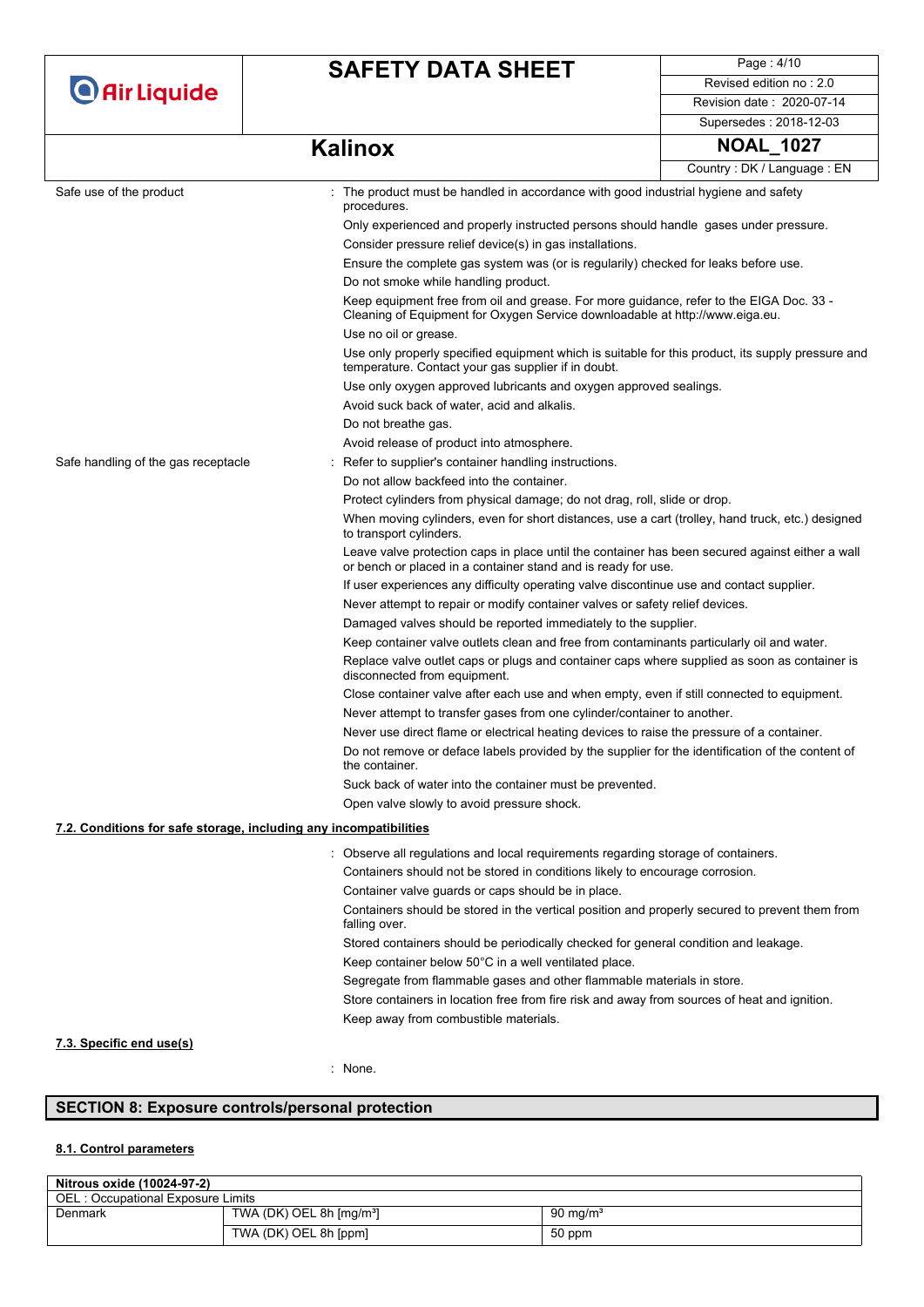# **SAFETY DATA SHEET**

Page : 4/10 Revised edition no : 2.0 Revision date : 2020-07-14 Supersedes : 2018-12-03

# **Kalinox NOAL\_1027**

|                                                                   |                                                                                                                                                                         | Country: DK / Language: EN |  |
|-------------------------------------------------------------------|-------------------------------------------------------------------------------------------------------------------------------------------------------------------------|----------------------------|--|
| Safe use of the product                                           | : The product must be handled in accordance with good industrial hygiene and safety<br>procedures.                                                                      |                            |  |
|                                                                   | Only experienced and properly instructed persons should handle gases under pressure.                                                                                    |                            |  |
|                                                                   | Consider pressure relief device(s) in gas installations.                                                                                                                |                            |  |
|                                                                   | Ensure the complete gas system was (or is regularily) checked for leaks before use.                                                                                     |                            |  |
|                                                                   | Do not smoke while handling product.                                                                                                                                    |                            |  |
|                                                                   | Keep equipment free from oil and grease. For more guidance, refer to the EIGA Doc. 33 -<br>Cleaning of Equipment for Oxygen Service downloadable at http://www.eiga.eu. |                            |  |
|                                                                   | Use no oil or grease.                                                                                                                                                   |                            |  |
|                                                                   | Use only properly specified equipment which is suitable for this product, its supply pressure and<br>temperature. Contact your gas supplier if in doubt.                |                            |  |
|                                                                   | Use only oxygen approved lubricants and oxygen approved sealings.                                                                                                       |                            |  |
|                                                                   | Avoid suck back of water, acid and alkalis.                                                                                                                             |                            |  |
|                                                                   | Do not breathe gas.                                                                                                                                                     |                            |  |
|                                                                   | Avoid release of product into atmosphere.                                                                                                                               |                            |  |
| Safe handling of the gas receptacle                               | Refer to supplier's container handling instructions.                                                                                                                    |                            |  |
|                                                                   | Do not allow backfeed into the container.                                                                                                                               |                            |  |
|                                                                   | Protect cylinders from physical damage; do not drag, roll, slide or drop.                                                                                               |                            |  |
|                                                                   | When moving cylinders, even for short distances, use a cart (trolley, hand truck, etc.) designed<br>to transport cylinders.                                             |                            |  |
|                                                                   | Leave valve protection caps in place until the container has been secured against either a wall<br>or bench or placed in a container stand and is ready for use.        |                            |  |
|                                                                   | If user experiences any difficulty operating valve discontinue use and contact supplier.                                                                                |                            |  |
|                                                                   | Never attempt to repair or modify container valves or safety relief devices.                                                                                            |                            |  |
|                                                                   | Damaged valves should be reported immediately to the supplier.                                                                                                          |                            |  |
|                                                                   | Keep container valve outlets clean and free from contaminants particularly oil and water.                                                                               |                            |  |
|                                                                   | Replace valve outlet caps or plugs and container caps where supplied as soon as container is<br>disconnected from equipment.                                            |                            |  |
|                                                                   | Close container valve after each use and when empty, even if still connected to equipment.                                                                              |                            |  |
|                                                                   | Never attempt to transfer gases from one cylinder/container to another.                                                                                                 |                            |  |
|                                                                   | Never use direct flame or electrical heating devices to raise the pressure of a container.                                                                              |                            |  |
|                                                                   | Do not remove or deface labels provided by the supplier for the identification of the content of<br>the container.                                                      |                            |  |
|                                                                   | Suck back of water into the container must be prevented.                                                                                                                |                            |  |
|                                                                   | Open valve slowly to avoid pressure shock.                                                                                                                              |                            |  |
| 7.2. Conditions for safe storage, including any incompatibilities |                                                                                                                                                                         |                            |  |
|                                                                   | : Observe all regulations and local reguirements regarding storage of containers                                                                                        |                            |  |
|                                                                   | Containers should not be stored in conditions likely to encourage corrosion.                                                                                            |                            |  |
|                                                                   | Container valve guards or caps should be in place.                                                                                                                      |                            |  |
|                                                                   | Containers should be stored in the vertical position and properly secured to prevent them from<br>falling over.                                                         |                            |  |
|                                                                   | Stored containers should be periodically checked for general condition and leakage.                                                                                     |                            |  |
|                                                                   | Keep container below 50°C in a well ventilated place.                                                                                                                   |                            |  |
|                                                                   | Segregate from flammable gases and other flammable materials in store.                                                                                                  |                            |  |
|                                                                   | Store containers in location free from fire risk and away from sources of heat and ignition.                                                                            |                            |  |
|                                                                   | Keep away from combustible materials.                                                                                                                                   |                            |  |

**7.3. Specific end use(s)**

: None.

### **SECTION 8: Exposure controls/personal protection**

### **8.1. Control parameters**

| Nitrous oxide (10024-97-2)               |                                          |             |  |  |
|------------------------------------------|------------------------------------------|-------------|--|--|
| <b>OEL: Occupational Exposure Limits</b> |                                          |             |  |  |
| Denmark                                  | TWA (DK) OEL 8h $\text{[mg/m}^3\text{]}$ | 90 mg/m $3$ |  |  |
|                                          | TWA (DK) OEL 8h [ppm]                    | 50 ppm      |  |  |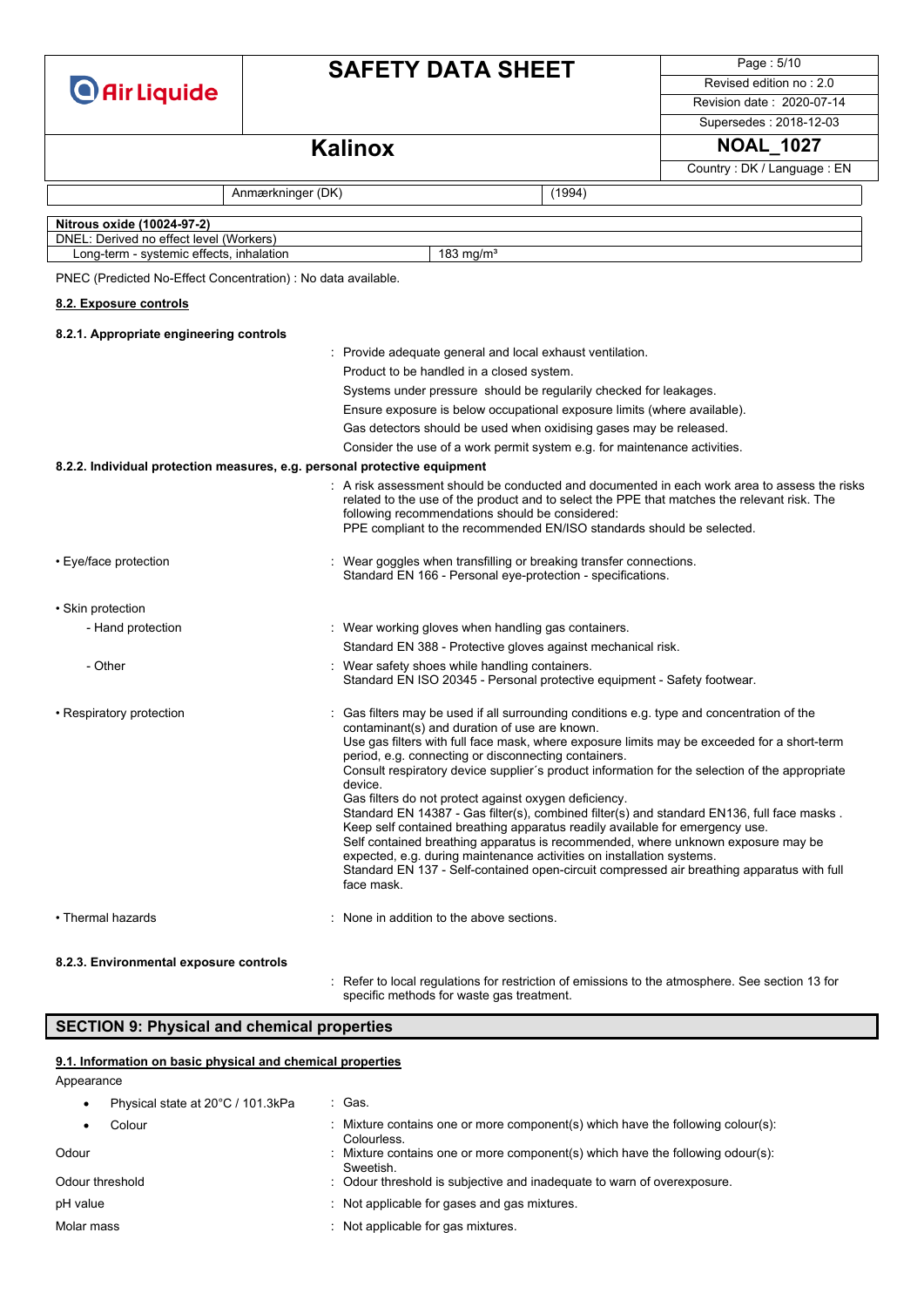| <b>O</b> Air Liquide |  |
|----------------------|--|
|----------------------|--|

## **SAFETY DATA SHEET**

Page : 5/10 Revised edition no : 2.0

Revision date : 2020-07-14

Supersedes : 2018-12-03

Country : DK / Language : EN

### **Kalinox NOAL** 1027

Anmærkninger (DK) (1994)

**Nitrous oxide (10024-97-2)** DNEL: Derived no effect level (Workers) Long-term - systemic effects, inhalation 183 mg/m<sup>3</sup> PNEC (Predicted No-Effect Concentration) : No data available. **8.2.1. Appropriate engineering controls** : Provide adequate general and local exhaust ventilation. Product to be handled in a closed system. Systems under pressure should be regularily checked for leakages. Ensure exposure is below occupational exposure limits (where available). Gas detectors should be used when oxidising gases may be released. Consider the use of a work permit system e.g. for maintenance activities. **8.2.2. Individual protection measures, e.g. personal protective equipment** : A risk assessment should be conducted and documented in each work area to assess the risks related to the use of the product and to select the PPE that matches the relevant risk. The following recommendations should be considered: PPE compliant to the recommended EN/ISO standards should be selected. • Eye/face protection **in the state of the state of the state of the state of the state of the state of the state of the state of the state of the state of the state of the state of the state of the state of the state of t** Standard EN 166 - Personal eve-protection - specifications. • Skin protection - Hand protection **in the state of the state of the state with the state of the state of the state of the state of the state of the state of the state of the state of the state of the state of the state of the state of the** Standard EN 388 - Protective gloves against mechanical risk. - Other internal containers. Wear safety shoes while handling containers. Standard EN ISO 20345 - Personal protective equipment - Safety footwear. • Respiratory protection : Gas filters may be used if all surrounding conditions e.g. type and concentration of the contaminant(s) and duration of use are known. Use gas filters with full face mask, where exposure limits may be exceeded for a short-term period, e.g. connecting or disconnecting containers. Consult respiratory device supplier´s product information for the selection of the appropriate device. Gas filters do not protect against oxygen deficiency. Standard EN 14387 - Gas filter(s), combined filter(s) and standard EN136, full face masks . Keep self contained breathing apparatus readily available for emergency use. Self contained breathing apparatus is recommended, where unknown exposure may be expected, e.g. during maintenance activities on installation systems. Standard EN 137 - Self-contained open-circuit compressed air breathing apparatus with full face mask. • Thermal hazards **:** None in addition to the above sections. **8.2.3. Environmental exposure controls** : Refer to local regulations for restriction of emissions to the atmosphere. See section 13 for specific methods for waste gas treatment. **8.2. Exposure controls**

### **SECTION 9: Physical and chemical properties**

#### **9.1. Information on basic physical and chemical properties**

Appearance

Physical state at 20°C / 101.3kPa : Gas. Colour : Mixture contains one or more component(s) which have the following colour(s): **Colourless** Odour **Solut Contains one or more component(s)** which have the following odour(s): **Sweetish** Odour threshold : Odour threshold is subjective and inadequate to warn of overexposure. pH value  $\qquad \qquad$  : Not applicable for gases and gas mixtures. Molar mass **in the case of the contract of the contract of the contract of the contract of the contract of the contract of the contract of the contract of the contract of the contract of the contract of the contract of the**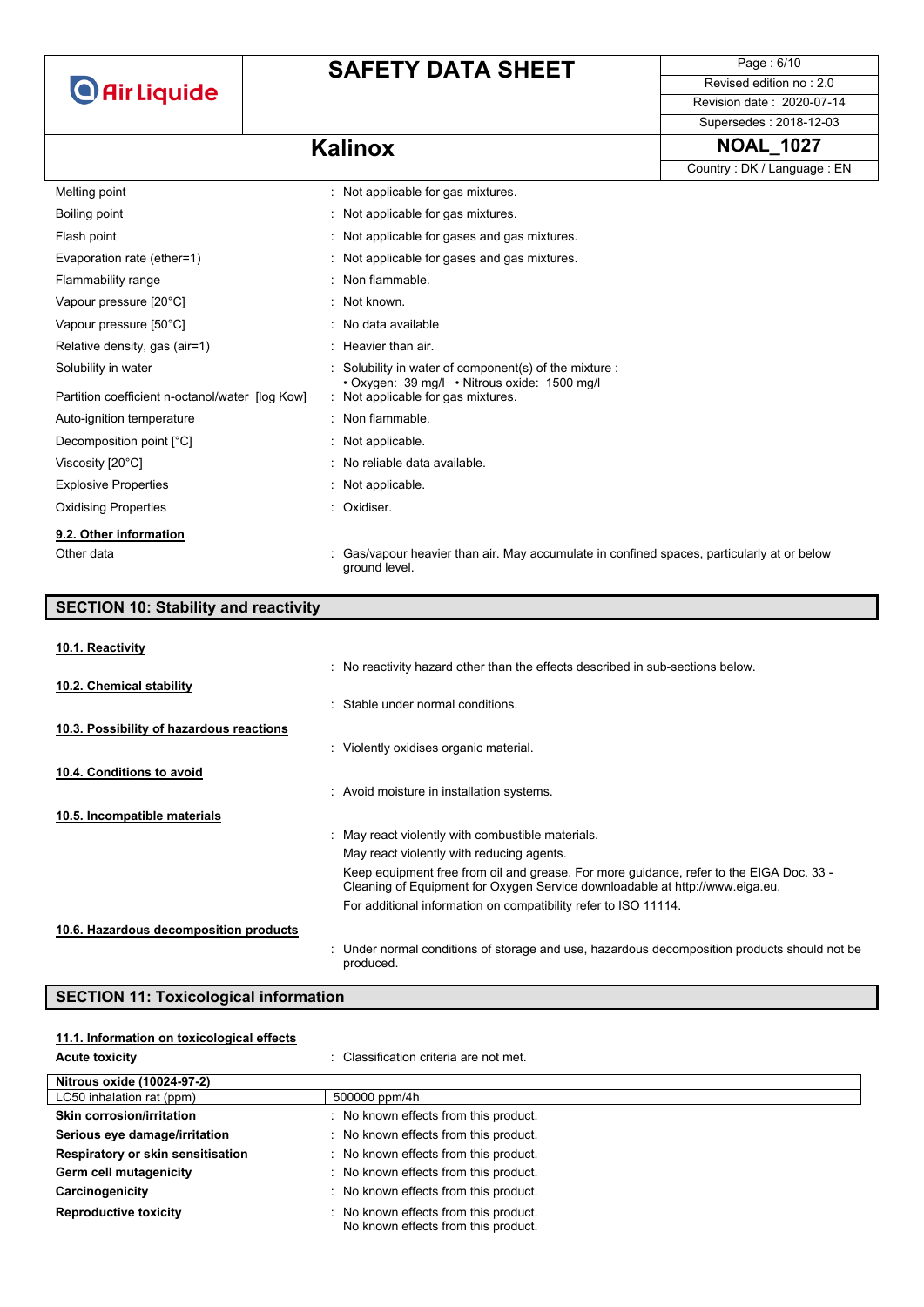## **SAFETY DATA SHEET**

Page : 6/10 Revised edition no : 2.0

Revision date : 2020-07-14

### Supersedes : 2018-12-03

### **Kalinox NOAL\_1027**

|                                                 |                                                                                                           | Country: DK / Language: EN |
|-------------------------------------------------|-----------------------------------------------------------------------------------------------------------|----------------------------|
| Melting point                                   | : Not applicable for gas mixtures.                                                                        |                            |
| Boiling point                                   | : Not applicable for gas mixtures.                                                                        |                            |
| Flash point                                     | : Not applicable for gases and gas mixtures.                                                              |                            |
| Evaporation rate (ether=1)                      | : Not applicable for gases and gas mixtures.                                                              |                            |
| Flammability range                              | : Non flammable.                                                                                          |                            |
| Vapour pressure [20°C]                          | : Not known.                                                                                              |                            |
| Vapour pressure [50°C]                          | : No data available                                                                                       |                            |
| Relative density, gas (air=1)                   | : Heavier than air.                                                                                       |                            |
| Solubility in water                             | Solubility in water of component(s) of the mixture :                                                      |                            |
| Partition coefficient n-octanol/water [log Kow] | • Oxygen: 39 mg/l • Nitrous oxide: 1500 mg/l<br>: Not applicable for gas mixtures.                        |                            |
| Auto-ignition temperature                       | : Non flammable.                                                                                          |                            |
| Decomposition point [°C]                        | : Not applicable.                                                                                         |                            |
| Viscosity [20°C]                                | : No reliable data available.                                                                             |                            |
| <b>Explosive Properties</b>                     | : Not applicable.                                                                                         |                            |
| <b>Oxidising Properties</b>                     | : Oxidiser.                                                                                               |                            |
| 9.2. Other information                          |                                                                                                           |                            |
| Other data                                      | Gas/vapour heavier than air. May accumulate in confined spaces, particularly at or below<br>ground level. |                            |

### **SECTION 10: Stability and reactivity** : No reactivity hazard other than the effects described in sub-sections below. : Stable under normal conditions. : Violently oxidises organic material. : Avoid moisture in installation systems. : May react violently with combustible materials. May react violently with reducing agents. Keep equipment free from oil and grease. For more guidance, refer to the EIGA Doc. 33 - Cleaning of Equipment for Oxygen Service downloadable at http://www.eiga.eu. For additional information on compatibility refer to ISO 11114. **10.1. Reactivity 10.2. Chemical stability 10.3. Possibility of hazardous reactions 10.4. Conditions to avoid 10.5. Incompatible materials 10.6. Hazardous decomposition products**

produced.

### **SECTION 11: Toxicological information**

| 11.1. Information on toxicological effects |                                                                              |
|--------------------------------------------|------------------------------------------------------------------------------|
| <b>Acute toxicity</b>                      | : Classification criteria are not met.                                       |
| Nitrous oxide (10024-97-2)                 |                                                                              |
| LC50 inhalation rat (ppm)                  | 500000 ppm/4h                                                                |
| <b>Skin corrosion/irritation</b>           | : No known effects from this product.                                        |
| Serious eye damage/irritation              | : No known effects from this product.                                        |
| Respiratory or skin sensitisation          | : No known effects from this product.                                        |
| Germ cell mutagenicity                     | : No known effects from this product.                                        |
| Carcinogenicity                            | : No known effects from this product.                                        |
| <b>Reproductive toxicity</b>               | : No known effects from this product.<br>No known effects from this product. |

: Under normal conditions of storage and use, hazardous decomposition products should not be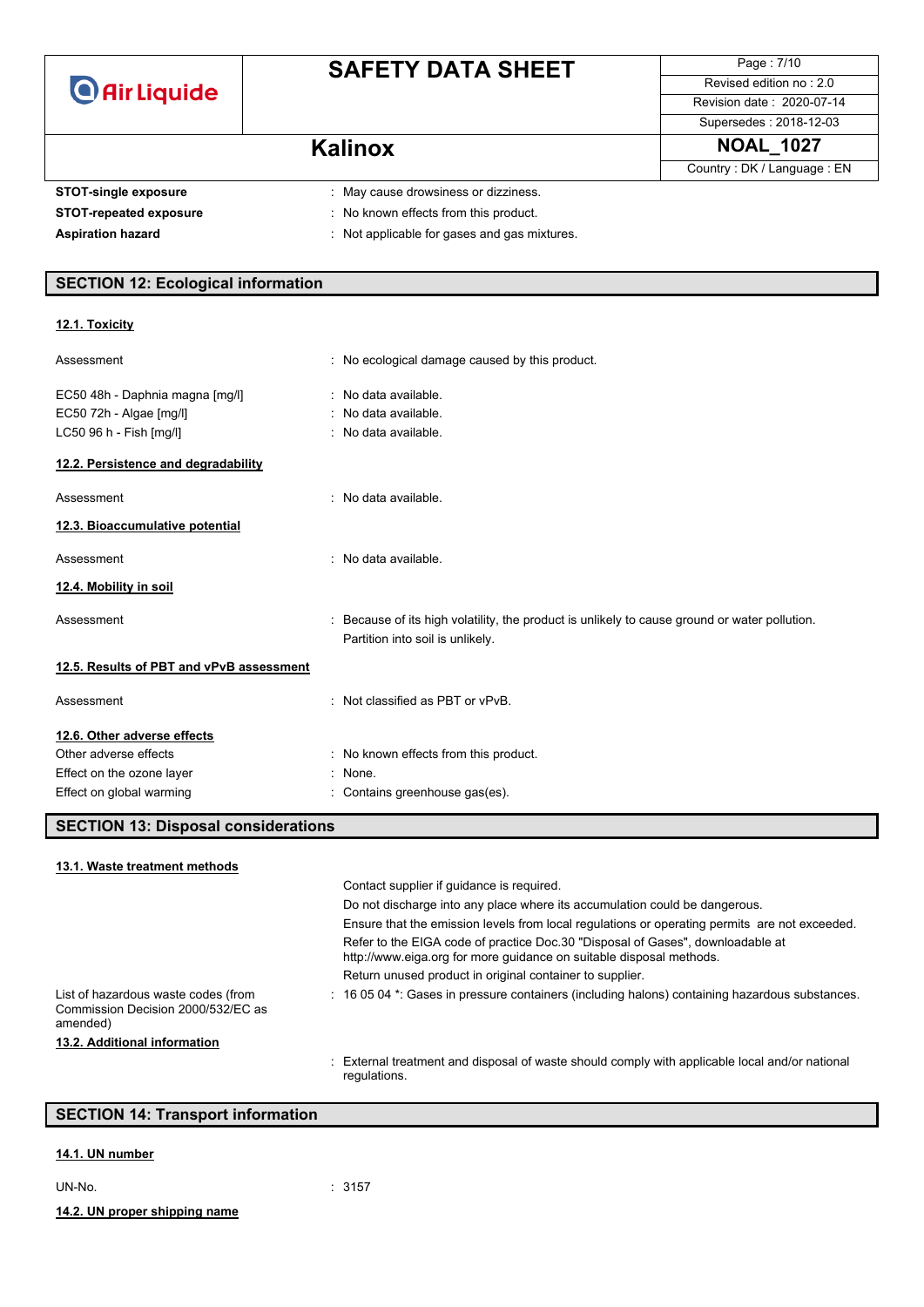# **SAFETY DATA SHEET**

Page : 7/10 Revised edition no : 2.0 Revision date : 2020-07-14

### Supersedes : 2018-12-03

Country : DK / Language : EN

### **Kalinox NOAL\_1027**

**STOT-single exposure** : May cause drowsiness or dizziness.

- **STOT-repeated exposure** : No known effects from this product.
- 
- 
- **Aspiration hazard** : Not applicable for gases and gas mixtures.

### **SECTION 12: Ecological information**

### **12.1. Toxicity**

| Assessment                               | : No ecological damage caused by this product.                                              |
|------------------------------------------|---------------------------------------------------------------------------------------------|
| EC50 48h - Daphnia magna [mg/l]          | : No data available.                                                                        |
| EC50 72h - Algae [mg/l]                  | : No data available.                                                                        |
| LC50 96 h - Fish [mg/l]                  | : No data available.                                                                        |
| 12.2. Persistence and degradability      |                                                                                             |
| Assessment                               | : No data available.                                                                        |
| 12.3. Bioaccumulative potential          |                                                                                             |
| Assessment                               | : No data available.                                                                        |
| 12.4. Mobility in soil                   |                                                                                             |
| Assessment                               | Because of its high volatility, the product is unlikely to cause ground or water pollution. |
|                                          | Partition into soil is unlikely.                                                            |
| 12.5. Results of PBT and vPvB assessment |                                                                                             |
| Assessment                               | : Not classified as PBT or $vPvB$ .                                                         |
| 12.6. Other adverse effects              |                                                                                             |
| Other adverse effects                    | : No known effects from this product.                                                       |
| Effect on the ozone layer                | : None.                                                                                     |
| Effect on global warming                 | : Contains greenhouse gas(es).                                                              |

### **SECTION 13: Disposal considerations**

| 13.1. Waste treatment methods                                                         |                                                                                                                                                       |
|---------------------------------------------------------------------------------------|-------------------------------------------------------------------------------------------------------------------------------------------------------|
|                                                                                       | Contact supplier if quidance is required.                                                                                                             |
|                                                                                       | Do not discharge into any place where its accumulation could be dangerous.                                                                            |
|                                                                                       | Ensure that the emission levels from local regulations or operating permits are not exceeded.                                                         |
|                                                                                       | Refer to the EIGA code of practice Doc.30 "Disposal of Gases", downloadable at<br>http://www.eiga.org for more guidance on suitable disposal methods. |
|                                                                                       | Return unused product in original container to supplier.                                                                                              |
| List of hazardous waste codes (from<br>Commission Decision 2000/532/EC as<br>amended) | : 16 05 04 *: Gases in pressure containers (including halons) containing hazardous substances.                                                        |
| 13.2. Additional information                                                          |                                                                                                                                                       |
|                                                                                       | External treatment and disposal of waste should comply with applicable local and/or national<br>regulations.                                          |

### **SECTION 14: Transport information**

#### **14.1. UN number**

| IN-<br>v | N |  |
|----------|---|--|
|          |   |  |

 $: 3157$ 

**14.2. UN proper shipping name**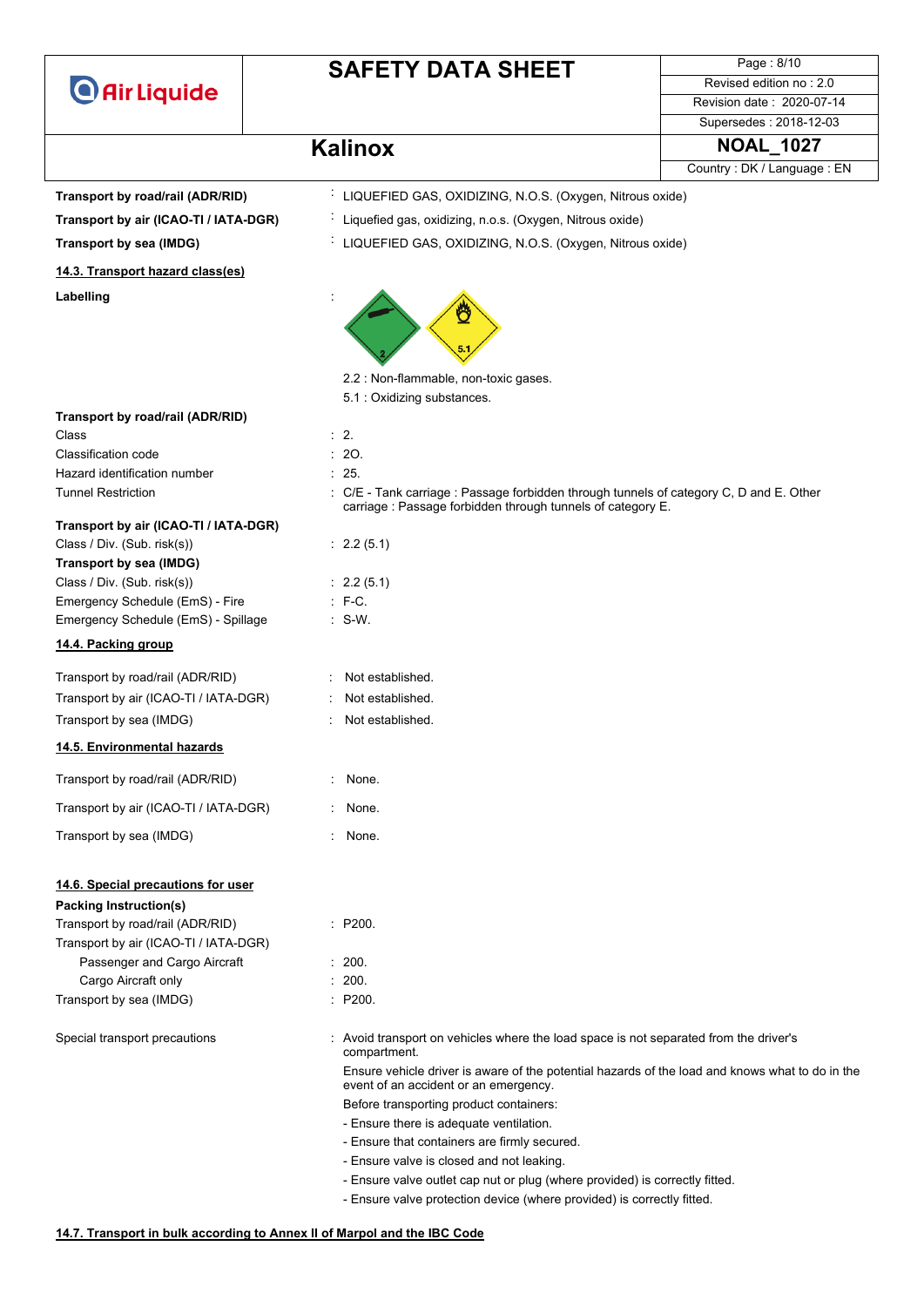# **SAFETY DATA SHEET**

 $\cdot$  LIQUEFIED GAS, OXIDIZING, N.O.S. (Oxygen, Nitrous oxide)

Page : 8/10 Revised edition no : 2.0 Revision date : 2020-07-14 Supersedes : 2018-12-03

## **Kalinox NOAL\_1027**

| Transport by road/rail (ADR/RID) |  |  |
|----------------------------------|--|--|
|                                  |  |  |

**Transport by air (ICAO-TI / IATA-DGR)** : Liquefied gas, oxidizing, n.o.s. (Oxygen, Nitrous oxide)

**Transport by sea (IMDG)** : LIQUEFIED GAS, OXIDIZING, N.O.S. (Oxygen, Nitrous oxide)

**Labelling** : **14.3. Transport hazard class(es)**

2.2 : Non-flammable, non-toxic gases.

5.1 : Oxidizing substances.

| Transport by road/rail (ADR/RID)      |           |
|---------------------------------------|-----------|
| Class                                 | $\cdot$ 2 |
| Classification code                   | : 20.     |
| Hazard identification number          | : 25.     |
| <b>Tunnel Restriction</b>             | C/E       |
|                                       | cari      |
| Transport by air (ICAO-TI / IATA-DGR) |           |

: C/E - Tank carriage : Passage forbidden through tunnels of category C, D and E. Other

### **Transport by air (ICAO-TI / IATA-DGR)**

| Class / Div. (Sub. risk(s))         |  |  |
|-------------------------------------|--|--|
| Transport by sea (IMDG)             |  |  |
| Class / Div. (Sub. risk(s))         |  |  |
| Emergency Schedule (EmS) - Fire     |  |  |
| Emergency Schedule (EmS) - Spillage |  |  |
|                                     |  |  |

### **14.4. Packing group**

| Transport by road/rail (ADR/RID)      |  |
|---------------------------------------|--|
| Transport by air (ICAO-TI / IATA-DGR) |  |
| Transport by sea (IMDG)               |  |

#### **14.5. Environmental hazards**

| Transport by road/rail (ADR/RID)      | : None. |
|---------------------------------------|---------|
| Transport by air (ICAO-TI / IATA-DGR) | : None. |

### **14.6. Special precautions for user**

#### **Packing Instruction(s)**

| Transport by road/rail (ADR/RID)      | $\therefore$ P20 |
|---------------------------------------|------------------|
| Transport by air (ICAO-TI / IATA-DGR) |                  |
| Passenger and Cargo Aircraft          | : 200.           |
| Cargo Aircraft only                   | : 200.           |
| Transport by sea (IMDG)               | $\therefore$ P20 |

Special transport precautions : Avoid transport on vehicles where the load space is not separated from the driver's

- - carriage : Passage forbidden through tunnels of category E.
- $: 2.2 (5.1)$
- $: 2.2 (5.1)$
- $\therefore$  F-C.
- $\therefore$  S-W.
- · Not established.

 $P200$ .

 $: 200.$  $P200$ .

compartment.

- Not established.
	- : Not established.
	-
- 
- Transport by sea (IMDG) : None.

event of an accident or an emergency. Before transporting product containers:

- Ensure there is adequate ventilation.
- Ensure that containers are firmly secured.
- Ensure valve is closed and not leaking.
- Ensure valve outlet cap nut or plug (where provided) is correctly fitted.

Ensure vehicle driver is aware of the potential hazards of the load and knows what to do in the

- Ensure valve protection device (where provided) is correctly fitted.

Country : DK / Language : EN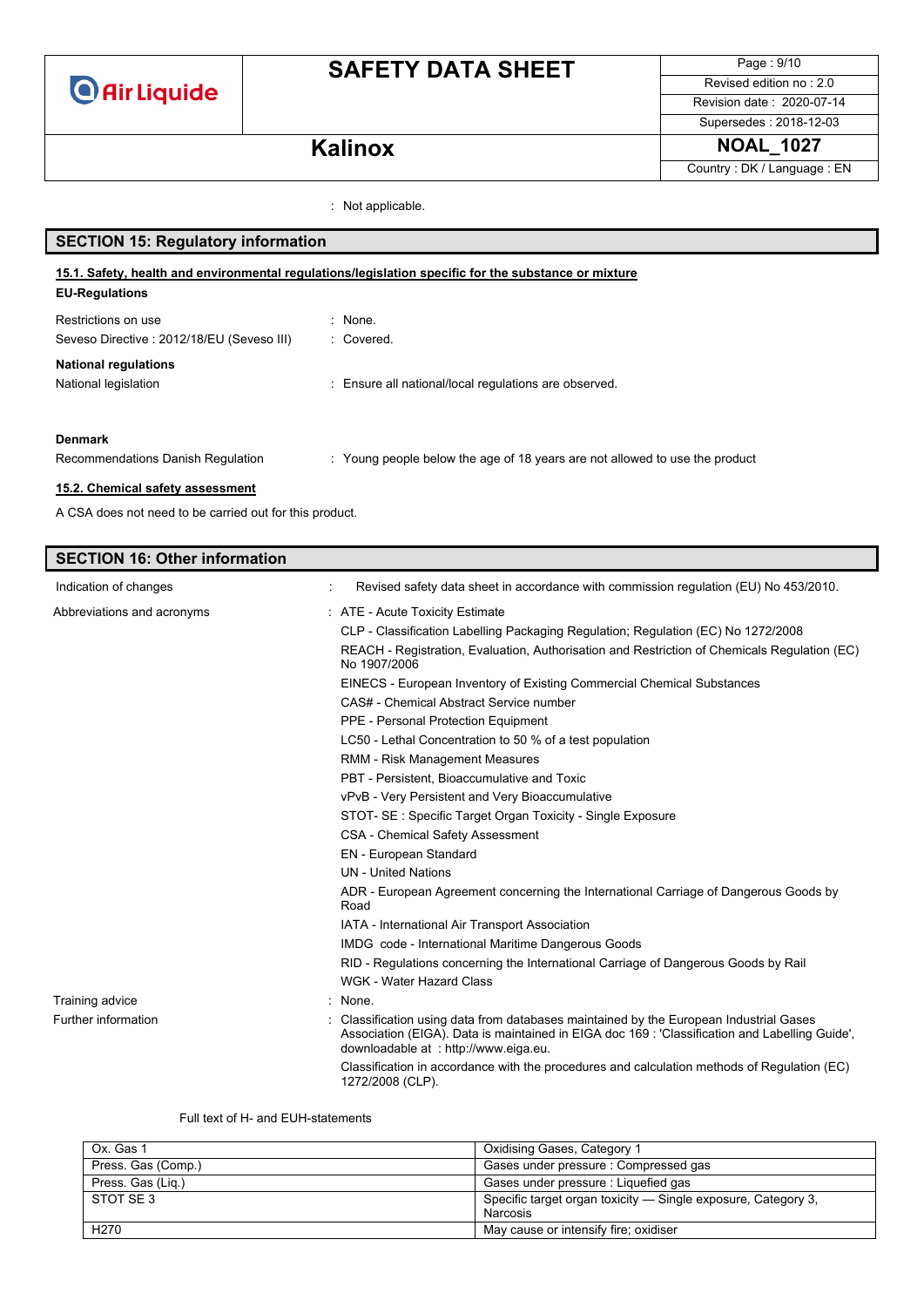# **SAFETY DATA SHEET**

Page : 9/10 Revised edition no : 2.0 Revision date : 2020-07-14

Supersedes : 2018-12-03 **Kalinox NOAL\_1027** 

Country : DK / Language : EN

: Not applicable.

| <b>SECTION 15: Regulatory information</b>                                                                                     |                                                                             |  |  |
|-------------------------------------------------------------------------------------------------------------------------------|-----------------------------------------------------------------------------|--|--|
| 15.1. Safety, health and environmental regulations/legislation specific for the substance or mixture<br><b>EU-Regulations</b> |                                                                             |  |  |
| Restrictions on use                                                                                                           | : None.                                                                     |  |  |
| Seveso Directive: 2012/18/EU (Seveso III)                                                                                     | : Covered.                                                                  |  |  |
| <b>National regulations</b>                                                                                                   |                                                                             |  |  |
| National legislation                                                                                                          | : Ensure all national/local regulations are observed.                       |  |  |
|                                                                                                                               |                                                                             |  |  |
| <b>Denmark</b>                                                                                                                |                                                                             |  |  |
| Recommendations Danish Regulation                                                                                             | : Young people below the age of 18 years are not allowed to use the product |  |  |
| 15.2. Chemical safety assessment                                                                                              |                                                                             |  |  |

A CSA does not need to be carried out for this product.

### **SECTION 16: Other information** Indication of changes **indication** of changes **in accordance with commission regulation** (EU) No 453/2010. Abbreviations and acronyms : ATE - Acute Toxicity Estimate CLP - Classification Labelling Packaging Regulation; Regulation (EC) No 1272/2008 REACH - Registration, Evaluation, Authorisation and Restriction of Chemicals Regulation (EC) No 1907/2006 EINECS - European Inventory of Existing Commercial Chemical Substances CAS# - Chemical Abstract Service number PPE - Personal Protection Equipment LC50 - Lethal Concentration to 50 % of a test population RMM - Risk Management Measures PBT - Persistent, Bioaccumulative and Toxic vPvB - Very Persistent and Very Bioaccumulative STOT- SE : Specific Target Organ Toxicity - Single Exposure CSA - Chemical Safety Assessment EN - European Standard UN - United Nations ADR - European Agreement concerning the International Carriage of Dangerous Goods by Road IATA - International Air Transport Association IMDG code - International Maritime Dangerous Goods RID - Regulations concerning the International Carriage of Dangerous Goods by Rail WGK - Water Hazard Class Training advice in the set of the set of the set of the set of the set of the set of the set of the set of the set of the set of the set of the set of the set of the set of the set of the set of the set of the set of the s Further information **incomation** : Classification using data from databases maintained by the European Industrial Gases Association (EIGA). Data is maintained in EIGA doc 169 : 'Classification and Labelling Guide', downloadable at : http://www.eiga.eu.

Classification in accordance with the procedures and calculation methods of Regulation (EC) 1272/2008 (CLP).

#### Full text of H- and EUH-statements

| Ox. Gas 1          | Oxidising Gases, Category 1                                               |
|--------------------|---------------------------------------------------------------------------|
| Press. Gas (Comp.) | Gases under pressure : Compressed gas                                     |
| Press. Gas (Lig.)  | Gases under pressure : Liquefied gas                                      |
| STOT SE 3          | Specific target organ toxicity — Single exposure, Category 3,<br>Narcosis |
| H <sub>270</sub>   | May cause or intensify fire; oxidiser                                     |